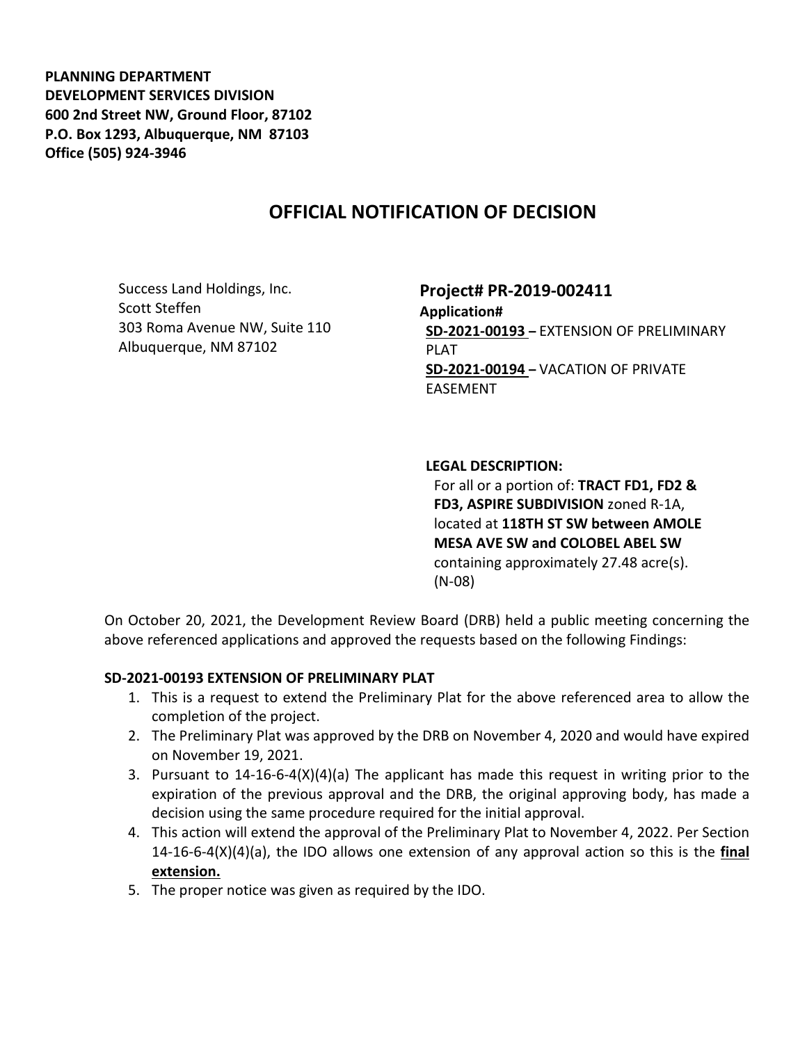**PLANNING DEPARTMENT DEVELOPMENT SERVICES DIVISION 600 2nd Street NW, Ground Floor, 87102 P.O. Box 1293, Albuquerque, NM 87103 Office (505) 924-3946** 

## **OFFICIAL NOTIFICATION OF DECISION**

Success Land Holdings, Inc. Scott Steffen 303 Roma Avenue NW, Suite 110 Albuquerque, NM 87102

**Project# PR-2019-002411 Application# SD-2021-00193 –** EXTENSION OF PRELIMINARY PLAT **SD-2021-00194 –** VACATION OF PRIVATE EASEMENT

## **LEGAL DESCRIPTION:**

For all or a portion of: **TRACT FD1, FD2 & FD3, ASPIRE SUBDIVISION** zoned R-1A, located at **118TH ST SW between AMOLE MESA AVE SW and COLOBEL ABEL SW**  containing approximately 27.48 acre(s). (N-08)

On October 20, 2021, the Development Review Board (DRB) held a public meeting concerning the above referenced applications and approved the requests based on the following Findings:

## **SD-2021-00193 EXTENSION OF PRELIMINARY PLAT**

- 1. This is a request to extend the Preliminary Plat for the above referenced area to allow the completion of the project.
- 2. The Preliminary Plat was approved by the DRB on November 4, 2020 and would have expired on November 19, 2021.
- 3. Pursuant to 14-16-6-4(X)(4)(a) The applicant has made this request in writing prior to the expiration of the previous approval and the DRB, the original approving body, has made a decision using the same procedure required for the initial approval.
- 4. This action will extend the approval of the Preliminary Plat to November 4, 2022. Per Section 14-16-6-4(X)(4)(a), the IDO allows one extension of any approval action so this is the **final extension.**
- 5. The proper notice was given as required by the IDO.